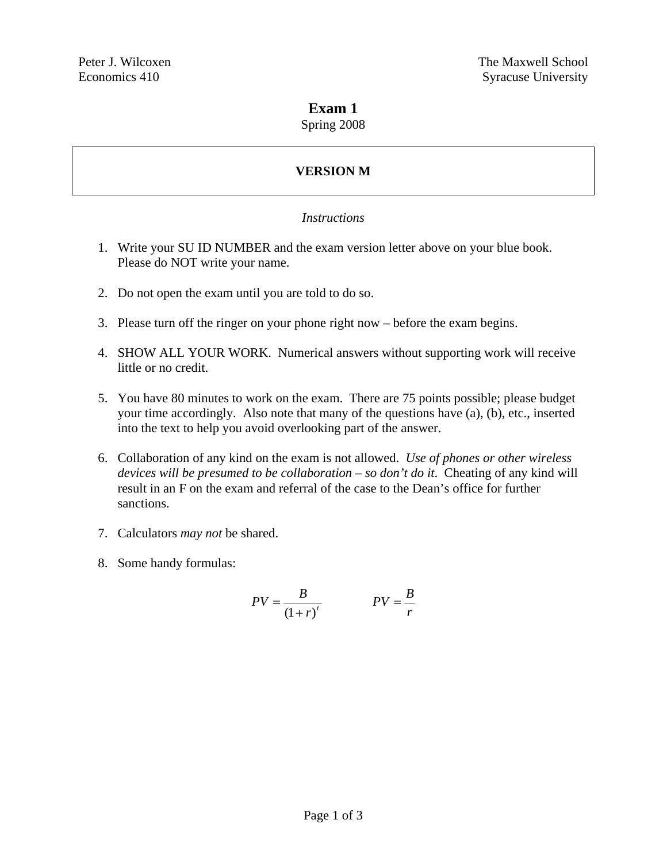### **Exam 1**

#### Spring 2008

# **VERSION M**

#### *Instructions*

- 1. Write your SU ID NUMBER and the exam version letter above on your blue book. Please do NOT write your name.
- 2. Do not open the exam until you are told to do so.
- 3. Please turn off the ringer on your phone right now before the exam begins.
- 4. SHOW ALL YOUR WORK. Numerical answers without supporting work will receive little or no credit.
- 5. You have 80 minutes to work on the exam. There are 75 points possible; please budget your time accordingly. Also note that many of the questions have (a), (b), etc., inserted into the text to help you avoid overlooking part of the answer.
- 6. Collaboration of any kind on the exam is not allowed. *Use of phones or other wireless devices will be presumed to be collaboration – so don't do it*. Cheating of any kind will result in an F on the exam and referral of the case to the Dean's office for further sanctions.
- 7. Calculators *may not* be shared.
- 8. Some handy formulas:

$$
PV = \frac{B}{\left(1+r\right)^t} \qquad PV = \frac{B}{r}
$$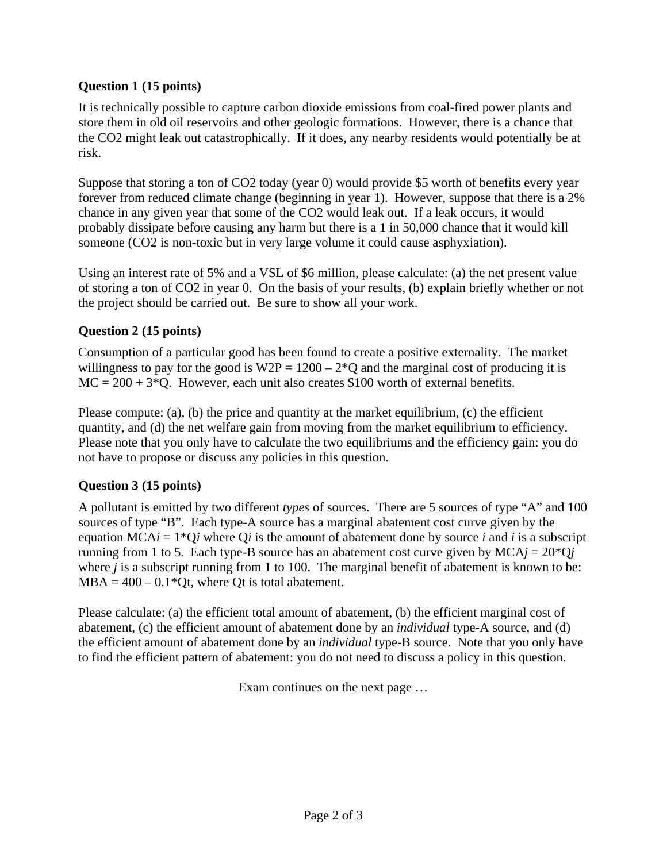### **Question 1 (15 points)**

It is technically possible to capture carbon dioxide emissions from coal-fired power plants and store them in old oil reservoirs and other geologic formations. However, there is a chance that the CO2 might leak out catastrophically. If it does, any nearby residents would potentially be at risk.

Suppose that storing a ton of CO2 today (year 0) would provide \$5 worth of benefits every year forever from reduced climate change (beginning in year 1). However, suppose that there is a 2% chance in any given year that some of the CO2 would leak out. If a leak occurs, it would probably dissipate before causing any harm but there is a 1 in 50,000 chance that it would kill someone (CO2 is non-toxic but in very large volume it could cause asphyxiation).

Using an interest rate of 5% and a VSL of \$6 million, please calculate: (a) the net present value of storing a ton of CO2 in year 0. On the basis of your results, (b) explain briefly whether or not the project should be carried out. Be sure to show all your work.

### **Question 2 (15 points)**

Consumption of a particular good has been found to create a positive externality. The market willingness to pay for the good is  $W2P = 1200 - 2*Q$  and the marginal cost of producing it is  $MC = 200 + 3*Q$ . However, each unit also creates \$100 worth of external benefits.

Please compute: (a), (b) the price and quantity at the market equilibrium, (c) the efficient quantity, and (d) the net welfare gain from moving from the market equilibrium to efficiency. Please note that you only have to calculate the two equilibriums and the efficiency gain: you do not have to propose or discuss any policies in this question.

## **Question 3 (15 points)**

A pollutant is emitted by two different *types* of sources. There are 5 sources of type "A" and 100 sources of type "B". Each type-A source has a marginal abatement cost curve given by the equation  $MCAi = 1*Qi$  where Q*i* is the amount of abatement done by source *i* and *i* is a subscript running from 1 to 5. Each type-B source has an abatement cost curve given by  $MCA<sub>j</sub> = 20*Q<sub>j</sub>$ where *j* is a subscript running from 1 to 100. The marginal benefit of abatement is known to be:  $MBA = 400 - 0.1*Qt$ , where Qt is total abatement.

Please calculate: (a) the efficient total amount of abatement, (b) the efficient marginal cost of abatement, (c) the efficient amount of abatement done by an *individual* type-A source, and (d) the efficient amount of abatement done by an *individual* type-B source. Note that you only have to find the efficient pattern of abatement: you do not need to discuss a policy in this question.

Exam continues on the next page …